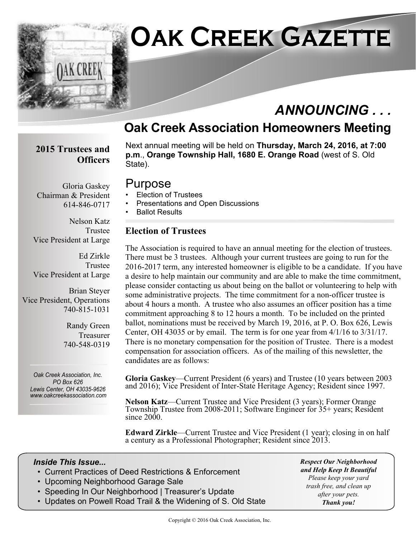

## **Oak Creek Association Homeowners Meeting**

#### **2015 Trustees and Officers**

Next annual meeting will be held on **Thursday, March 24, 2016, at 7:00 p.m**., **Orange Township Hall, 1680 E. Orange Road** (west of S. Old State).

## Purpose

- Election of Trustees
- Presentations and Open Discussions
- Ballot Results

#### **Election of Trustees**

The Association is required to have an annual meeting for the election of trustees. There must be 3 trustees. Although your current trustees are going to run for the 2016-2017 term, any interested homeowner is eligible to be a candidate. If you have a desire to help maintain our community and are able to make the time commitment, please consider contacting us about being on the ballot or volunteering to help with some administrative projects. The time commitment for a non-officer trustee is about 4 hours a month. A trustee who also assumes an officer position has a time commitment approaching 8 to 12 hours a month. To be included on the printed ballot, nominations must be received by March 19, 2016, at P. O. Box 626, Lewis Center, OH 43035 or by email. The term is for one year from 4/1/16 to 3/31/17. There is no monetary compensation for the position of Trustee. There is a modest compensation for association officers. As of the mailing of this newsletter, the candidates are as follows:

**Gloria Gaskey**—Current President (6 years) and Trustee (10 years between 2003 and 2016); Vice President of Inter-State Heritage Agency; Resident since 1997.

**Nelson Katz**—Current Trustee and Vice President (3 years); Former Orange Township Trustee from 2008-2011; Software Engineer for 35+ years; Resident since 2000.

**Edward Zirkle**—Current Trustee and Vice President (1 year); closing in on half a century as a Professional Photographer; Resident since 2013.

#### *Inside This Issue...*

- Current Practices of Deed Restrictions & Enforcement
- Upcoming Neighborhood Garage Sale
- Speeding In Our Neighborhood | Treasurer's Update
- Updates on Powell Road Trail & the Widening of S. Old State

*Respect Our Neighborhood and Help Keep It Beautiful Please keep your yard trash free, and clean up after your pets. Thank you!*

Copyright © 2016 Oak Creek Association, Inc.

Gloria Gaskey Chairman & President 614-846-0717

Nelson Katz Trustee Vice President at Large

Ed Zirkle Trustee Vice President at Large

Brian Steyer Vice President, Operations 740-815-1031

> Randy Green Treasurer 740-548-0319

*Oak Creek Association, Inc. PO Box 626 Lewis Center, OH 43035-9626 www.oakcreekassociation.com*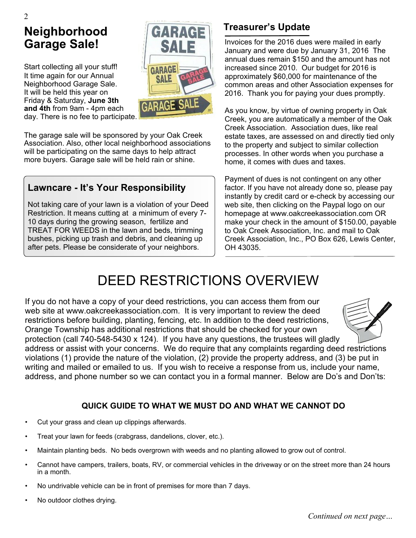## **Neighborhood Garage Sale!**

2

Start collecting all your stuff! It time again for our Annual Neighborhood Garage Sale. It will be held this year on Friday & Saturday, **June 3th and 4th** from 9am - 4pm each day. There is no fee to participate.



The garage sale will be sponsored by your Oak Creek Association. Also, other local neighborhood associations will be participating on the same days to help attract more buyers. Garage sale will be held rain or shine.

## **Lawncare - It's Your Responsibility**

Not taking care of your lawn is a violation of your Deed Restriction. It means cutting at a minimum of every 7- 10 days during the growing season, fertilize and TREAT FOR WEEDS in the lawn and beds, trimming bushes, picking up trash and debris, and cleaning up after pets. Please be considerate of your neighbors.

## **Treasurer's Update**

Invoices for the 2016 dues were mailed in early January and were due by January 31, 2016 The annual dues remain \$150 and the amount has not increased since 2010. Our budget for 2016 is approximately \$60,000 for maintenance of the common areas and other Association expenses for 2016. Thank you for paying your dues promptly.

As you know, by virtue of owning property in Oak Creek, you are automatically a member of the Oak Creek Association. Association dues, like real estate taxes, are assessed on and directly tied only to the property and subject to similar collection processes. In other words when you purchase a home, it comes with dues and taxes.

Payment of dues is not contingent on any other factor. If you have not already done so, please pay instantly by credit card or e-check by accessing our web site, then clicking on the Paypal logo on our homepage at www.oakcreekassociation.com OR make your check in the amount of \$150.00, payable to Oak Creek Association, Inc. and mail to Oak Creek Association, Inc., PO Box 626, Lewis Center, OH 43035.

## DEED RESTRICTIONS OVERVIEW

If you do not have a copy of your deed restrictions, you can access them from our web site at www.oakcreekassociation.com. It is very important to review the deed restrictions before building, planting, fencing, etc. In addition to the deed restrictions, Orange Township has additional restrictions that should be checked for your own protection (call 740-548-5430 x 124). If you have any questions, the trustees will gladly



address or assist with your concerns. We do require that any complaints regarding deed restrictions violations (1) provide the nature of the violation, (2) provide the property address, and (3) be put in writing and mailed or emailed to us. If you wish to receive a response from us, include your name, address, and phone number so we can contact you in a formal manner. Below are Do's and Don'ts:

#### **QUICK GUIDE TO WHAT WE MUST DO AND WHAT WE CANNOT DO**

- Cut your grass and clean up clippings afterwards.
- Treat your lawn for feeds (crabgrass, dandelions, clover, etc.).
- Maintain planting beds. No beds overgrown with weeds and no planting allowed to grow out of control.
- Cannot have campers, trailers, boats, RV, or commercial vehicles in the driveway or on the street more than 24 hours in a month.
- No undrivable vehicle can be in front of premises for more than 7 days.
- No outdoor clothes drying.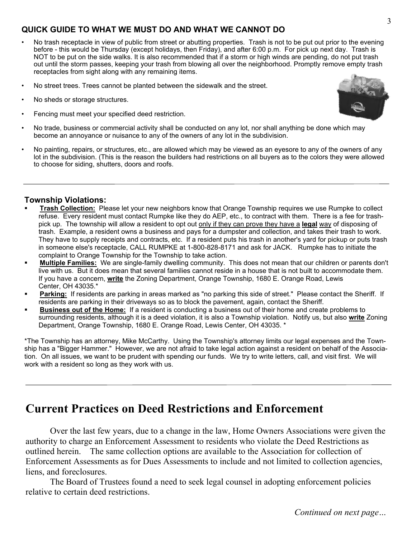#### **QUICK GUIDE TO WHAT WE MUST DO AND WHAT WE CANNOT DO**

- No trash receptacle in view of public from street or abutting properties. Trash is not to be put out prior to the evening before - this would be Thursday (except holidays, then Friday), and after 6:00 p.m. For pick up next day. Trash is NOT to be put on the side walks. It is also recommended that if a storm or high winds are pending, do not put trash out until the storm passes, keeping your trash from blowing all over the neighborhood. Promptly remove empty trash receptacles from sight along with any remaining items.
- No street trees. Trees cannot be planted between the sidewalk and the street.
- No sheds or storage structures.
- Fencing must meet your specified deed restriction.



• No painting, repairs, or structures, etc., are allowed which may be viewed as an eyesore to any of the owners of any lot in the subdivision. (This is the reason the builders had restrictions on all buyers as to the colors they were allowed to choose for siding, shutters, doors and roofs.

#### **Township Violations:**

- ß **Trash Collection:** Please let your new neighbors know that Orange Township requires we use Rumpke to collect refuse. Every resident must contact Rumpke like they do AEP, etc., to contract with them. There is a fee for trashpick up. The township will allow a resident to opt out only if they can prove they have a **legal** way of disposing of trash. Example, a resident owns a business and pays for a dumpster and collection, and takes their trash to work. They have to supply receipts and contracts, etc. If a resident puts his trash in another's yard for pickup or puts trash in someone else's receptacle, CALL RUMPKE at 1-800-828-8171 and ask for JACK. Rumpke has to initiate the complaint to Orange Township for the Township to take action.
- ß **Multiple Families:** We are single-family dwelling community. This does not mean that our children or parents don't live with us. But it does mean that several families cannot reside in a house that is not built to accommodate them. If you have a concern, **write** the Zoning Department, Orange Township, 1680 E. Orange Road, Lewis Center, OH 43035.\*
- **Parking:** If residents are parking in areas marked as "no parking this side of street." Please contact the Sheriff. If residents are parking in their driveways so as to block the pavement, again, contact the Sheriff.
- ß **Business out of the Home:** If a resident is conducting a business out of their home and create problems to surrounding residents, although it is a deed violation, it is also a Township violation. Notify us, but also **write** Zoning Department, Orange Township, 1680 E. Orange Road, Lewis Center, OH 43035. \*

\*The Township has an attorney, Mike McCarthy. Using the Township's attorney limits our legal expenses and the Township has a "Bigger Hammer." However, we are not afraid to take legal action against a resident on behalf of the Association. On all issues, we want to be prudent with spending our funds. We try to write letters, call, and visit first. We will work with a resident so long as they work with us.

## **Current Practices on Deed Restrictions and Enforcement**

Over the last few years, due to a change in the law, Home Owners Associations were given the authority to charge an Enforcement Assessment to residents who violate the Deed Restrictions as outlined herein. The same collection options are available to the Association for collection of Enforcement Assessments as for Dues Assessments to include and not limited to collection agencies, liens, and foreclosures.

The Board of Trustees found a need to seek legal counsel in adopting enforcement policies relative to certain deed restrictions.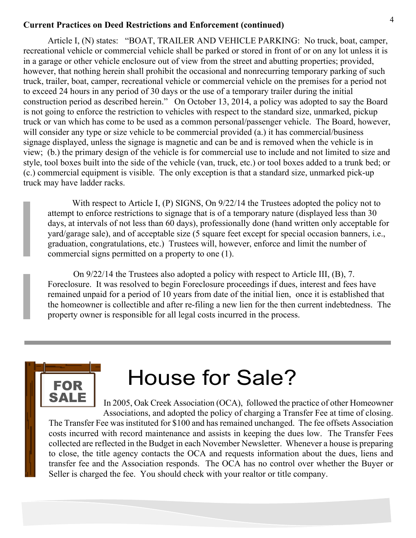#### **Current Practices on Deed Restrictions and Enforcement (continued)**

Article I, (N) states: "BOAT, TRAILER AND VEHICLE PARKING: No truck, boat, camper, recreational vehicle or commercial vehicle shall be parked or stored in front of or on any lot unless it is in a garage or other vehicle enclosure out of view from the street and abutting properties; provided, however, that nothing herein shall prohibit the occasional and nonrecurring temporary parking of such truck, trailer, boat, camper, recreational vehicle or commercial vehicle on the premises for a period not to exceed 24 hours in any period of 30 days or the use of a temporary trailer during the initial construction period as described herein." On October 13, 2014, a policy was adopted to say the Board is not going to enforce the restriction to vehicles with respect to the standard size, unmarked, pickup truck or van which has come to be used as a common personal/passenger vehicle. The Board, however, will consider any type or size vehicle to be commercial provided (a.) it has commercial/business signage displayed, unless the signage is magnetic and can be and is removed when the vehicle is in view; (b.) the primary design of the vehicle is for commercial use to include and not limited to size and style, tool boxes built into the side of the vehicle (van, truck, etc.) or tool boxes added to a trunk bed; or (c.) commercial equipment is visible. The only exception is that a standard size, unmarked pick-up truck may have ladder racks.

With respect to Article I, (P) SIGNS, On  $9/22/14$  the Trustees adopted the policy not to attempt to enforce restrictions to signage that is of a temporary nature (displayed less than 30 days, at intervals of not less than 60 days), professionally done (hand written only acceptable for yard/garage sale), and of acceptable size (5 square feet except for special occasion banners, i.e., graduation, congratulations, etc.) Trustees will, however, enforce and limit the number of commercial signs permitted on a property to one (1).

 On 9/22/14 the Trustees also adopted a policy with respect to Article III, (B), 7. Foreclosure. It was resolved to begin Foreclosure proceedings if dues, interest and fees have remained unpaid for a period of 10 years from date of the initial lien, once it is established that the homeowner is collectible and after re-filing a new lien for the then current indebtedness. The property owner is responsible for all legal costs incurred in the process.

# **SALE**

# **FOR** House for Sale?

In 2005, Oak Creek Association (OCA), followed the practice of other Homeowner Associations, and adopted the policy of charging a Transfer Fee at time of closing. The Transfer Fee was instituted for \$100 and has remained unchanged. The fee offsets Association costs incurred with record maintenance and assists in keeping the dues low. The Transfer Fees collected are reflected in the Budget in each November Newsletter. Whenever a house is preparing to close, the title agency contacts the OCA and requests information about the dues, liens and transfer fee and the Association responds. The OCA has no control over whether the Buyer or Seller is charged the fee. You should check with your realtor or title company.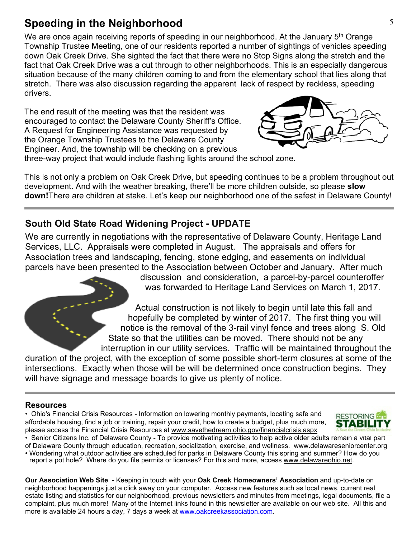## **Speeding in the Neighborhood** 5

We are once again receiving reports of speeding in our neighborhood. At the January 5<sup>th</sup> Orange Township Trustee Meeting, one of our residents reported a number of sightings of vehicles speeding down Oak Creek Drive. She sighted the fact that there were no Stop Signs along the stretch and the fact that Oak Creek Drive was a cut through to other neighborhoods. This is an especially dangerous situation because of the many children coming to and from the elementary school that lies along that stretch. There was also discussion regarding the apparent lack of respect by reckless, speeding drivers.

The end result of the meeting was that the resident was encouraged to contact the Delaware County Sheriff's Office. A Request for Engineering Assistance was requested by the Orange Township Trustees to the Delaware County Engineer. And, the township will be checking on a previous



three-way project that would include flashing lights around the school zone.

This is not only a problem on Oak Creek Drive, but speeding continues to be a problem throughout out development. And with the weather breaking, there'll be more children outside, so please **slow down!**There are children at stake. Let's keep our neighborhood one of the safest in Delaware County!

## **South Old State Road Widening Project - UPDATE**

We are currently in negotiations with the representative of Delaware County, Heritage Land Services, LLC. Appraisals were completed in August. The appraisals and offers for Association trees and landscaping, fencing, stone edging, and easements on individual parcels have been presented to the Association between October and January. After much

> discussion and consideration, a parcel-by-parcel counteroffer was forwarded to Heritage Land Services on March 1, 2017.

 Actual construction is not likely to begin until late this fall and hopefully be completed by winter of 2017. The first thing you will notice is the removal of the 3-rail vinyl fence and trees along S. Old State so that the utilities can be moved. There should not be any interruption in our utility services. Traffic will be maintained throughout the

duration of the project, with the exception of some possible short-term closures at some of the intersections. Exactly when those will be will be determined once construction begins. They will have signage and message boards to give us plenty of notice.

#### **Resources**

• Ohio's Financial Crisis Resources - Information on lowering monthly payments, locating safe and affordable housing, find a job or training, repair your credit, how to create a budget, plus much more, please access the Financial Crisis Resources at www.savethedream.ohio.gov/financialcrisis.aspx



• Senior Citizens Inc. of Delaware County - To provide motivating activities to help active older adults remain a vital part

of Delaware County through education, recreation, socialization, exercise, and wellness. www.delawareseniorcenter.org • Wondering what outdoor activities are scheduled for parks in Delaware County this spring and summer? How do you report a pot hole? Where do you file permits or licenses? For this and more, access www.delawareohio.net.

**Our Association Web Site** *-* Keeping in touch with your **Oak Creek Homeowners' Association** and up-to-date on neighborhood happenings just a click away on your computer. Access new features such as local news, current real estate listing and statistics for our neighborhood, previous newsletters and minutes from meetings, legal documents, file a complaint, plus much more! Many of the Internet links found in this newsletter are available on our web site. All this and more is available 24 hours a day, 7 days a week at www.oakcreekassociation.com.